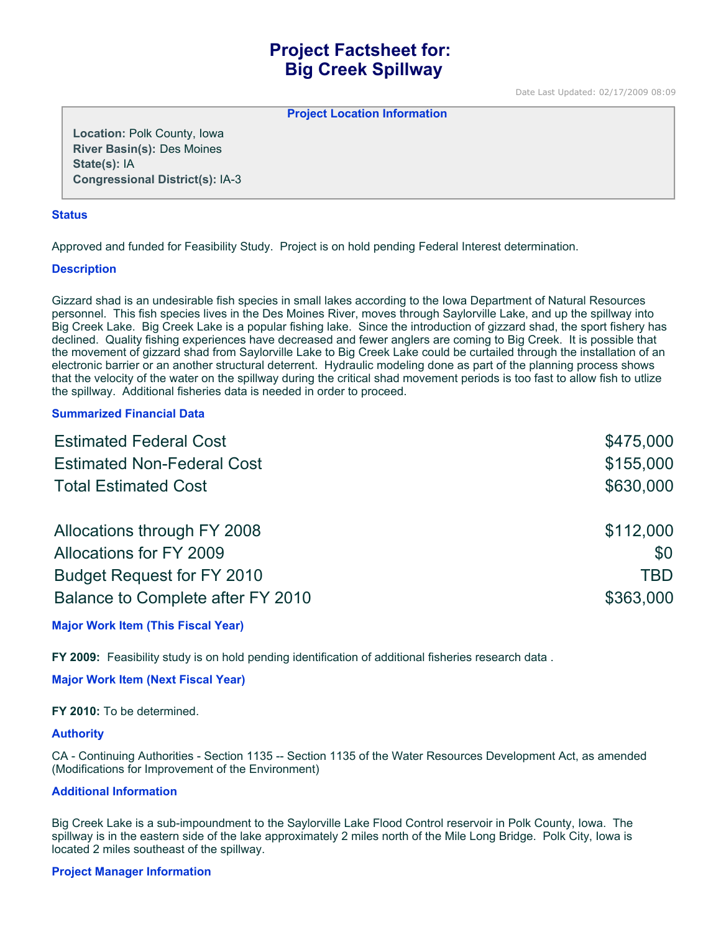# **Project Factsheet for: Big Creek Spillway**

Date Last Updated: 02/17/2009 08:09

**Project Location Information** 

**Location:** Polk County, Iowa **River Basin(s):** Des Moines **State(s):** IA **Congressional District(s):** IA-3

### **Status**

Approved and funded for Feasibility Study. Project is on hold pending Federal Interest determination.

## **Description**

Gizzard shad is an undesirable fish species in small lakes according to the Iowa Department of Natural Resources personnel. This fish species lives in the Des Moines River, moves through Saylorville Lake, and up the spillway into Big Creek Lake. Big Creek Lake is a popular fishing lake. Since the introduction of gizzard shad, the sport fishery has declined. Quality fishing experiences have decreased and fewer anglers are coming to Big Creek. It is possible that the movement of gizzard shad from Saylorville Lake to Big Creek Lake could be curtailed through the installation of an electronic barrier or an another structural deterrent. Hydraulic modeling done as part of the planning process shows that the velocity of the water on the spillway during the critical shad movement periods is too fast to allow fish to utlize the spillway. Additional fisheries data is needed in order to proceed.

## **Summarized Financial Data**

| <b>Estimated Federal Cost</b>     | \$475,000 |
|-----------------------------------|-----------|
| <b>Estimated Non-Federal Cost</b> | \$155,000 |
| <b>Total Estimated Cost</b>       | \$630,000 |
| Allocations through FY 2008       | \$112,000 |
| Allocations for FY 2009           | \$0       |
| <b>Budget Request for FY 2010</b> | TBD       |
| Balance to Complete after FY 2010 | \$363,000 |

**Major Work Item (This Fiscal Year)**

**FY 2009:** Feasibility study is on hold pending identification of additional fisheries research data .

**Major Work Item (Next Fiscal Year)**

**FY 2010:** To be determined.

### **Authority**

CA - Continuing Authorities - Section 1135 -- Section 1135 of the Water Resources Development Act, as amended (Modifications for Improvement of the Environment)

### **Additional Information**

Big Creek Lake is a sub-impoundment to the Saylorville Lake Flood Control reservoir in Polk County, Iowa. The spillway is in the eastern side of the lake approximately 2 miles north of the Mile Long Bridge. Polk City, Iowa is located 2 miles southeast of the spillway.

## **Project Manager Information**